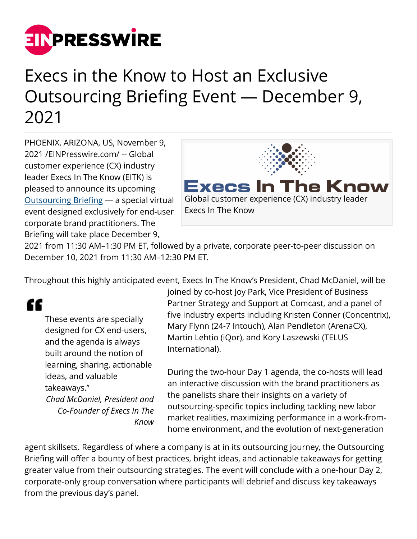

## Execs in the Know to Host an Exclusive Outsourcing Briefing Event — December 9, 2021

PHOENIX, ARIZONA, US, November 9, 2021 /[EINPresswire.com](http://www.einpresswire.com)/ -- Global customer experience (CX) industry leader Execs In The Know (EITK) is pleased to announce its upcoming [Outsourcing Briefing](https://execsintheknow.com/events/outsourcing-dec2021/) — a special virtual event designed exclusively for end-user corporate brand practitioners. The Briefing will take place December 9,



2021 from 11:30 AM–1:30 PM ET, followed by a private, corporate peer-to-peer discussion on December 10, 2021 from 11:30 AM–12:30 PM ET.

Throughout this highly anticipated event, Execs In The Know's President, Chad McDaniel, will be

## "

These events are specially designed for CX end-users, and the agenda is always built around the notion of learning, sharing, actionable ideas, and valuable takeaways." *Chad McDaniel, President and Co-Founder of Execs In The Know* joined by co-host Joy Park, Vice President of Business Partner Strategy and Support at Comcast, and a panel of five industry experts including Kristen Conner (Concentrix), Mary Flynn (24-7 Intouch), Alan Pendleton (ArenaCX), Martin Lehtio (iQor), and Kory Laszewski (TELUS International).

During the two-hour Day 1 agenda, the co-hosts will lead an interactive discussion with the brand practitioners as the panelists share their insights on a variety of outsourcing-specific topics including tackling new labor market realities, maximizing performance in a work-fromhome environment, and the evolution of next-generation

agent skillsets. Regardless of where a company is at in its outsourcing journey, the Outsourcing Briefing will offer a bounty of best practices, bright ideas, and actionable takeaways for getting greater value from their outsourcing strategies. The event will conclude with a one-hour Day 2, corporate-only group conversation where participants will debrief and discuss key takeaways from the previous day's panel.